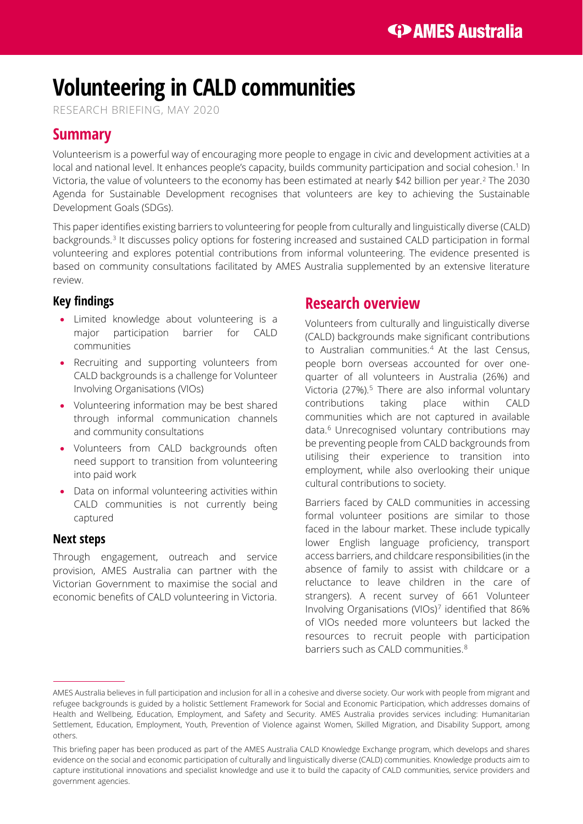# **Volunteering in CALD communities**

RESEARCH BRIEFING, MAY 2020

## **Summary**

Volunteerism is a powerful way of encouraging more people to engage in civic and development activities at a local and national level. It enhances people's capacity, builds community participation and social cohesion.<sup>[1](#page-5-0)</sup> In Victoria, the value of volunteers to the economy has been estimated at nearly \$42 billion per year.[2](#page-5-1) The 2030 Agenda for Sustainable Development recognises that volunteers are key to achieving the Sustainable Development Goals (SDGs).

This paper identifies existing barriers to volunteering for people from culturally and linguistically diverse (CALD) backgrounds. [3](#page-5-2) It discusses policy options for fostering increased and sustained CALD participation in formal volunteering and explores potential contributions from informal volunteering. The evidence presented is based on community consultations facilitated by AMES Australia supplemented by an extensive literature review.

### **Key findings**

- Limited knowledge about volunteering is a major participation barrier for CALD communities
- Recruiting and supporting volunteers from CALD backgrounds is a challenge for Volunteer Involving Organisations (VIOs)
- Volunteering information may be best shared through informal communication channels and community consultations
- Volunteers from CALD backgrounds often need support to transition from volunteering into paid work
- Data on informal volunteering activities within CALD communities is not currently being captured

#### **Next steps**

Through engagement, outreach and service provision, AMES Australia can partner with the Victorian Government to maximise the social and economic benefits of CALD volunteering in Victoria.

### **Research overview**

Volunteers from culturally and linguistically diverse (CALD) backgrounds make significant contributions to Australian communities.[4](#page-5-3) At the last Census, people born overseas accounted for over onequarter of all volunteers in Australia (26%) and Victoria (27%).<sup>[5](#page-5-4)</sup> There are also informal voluntary contributions taking place within CALD communities which are not captured in available data.[6](#page-5-5) Unrecognised voluntary contributions may be preventing people from CALD backgrounds from utilising their experience to transition into employment, while also overlooking their unique cultural contributions to society.

Barriers faced by CALD communities in accessing formal volunteer positions are similar to those faced in the labour market. These include typically lower English language proficiency, transport access barriers, and childcare responsibilities (in the absence of family to assist with childcare or a reluctance to leave children in the care of strangers). A recent survey of 661 Volunteer Involving Organisations (VIOs)[7](#page-5-6) identified that 86% of VIOs needed more volunteers but lacked the resources to recruit people with participation barriers such as CALD communities. [8](#page-5-7)

AMES Australia believes in full participation and inclusion for all in a cohesive and diverse society. Our work with people from migrant and refugee backgrounds is guided by a holistic Settlement Framework for Social and Economic Participation, which addresses domains of Health and Wellbeing, Education, Employment, and Safety and Security. AMES Australia provides services including: Humanitarian Settlement, Education, Employment, Youth, Prevention of Violence against Women, Skilled Migration, and Disability Support, among others.

This briefing paper has been produced as part of the AMES Australia CALD Knowledge Exchange program, which develops and shares evidence on the social and economic participation of culturally and linguistically diverse (CALD) communities. Knowledge products aim to capture institutional innovations and specialist knowledge and use it to build the capacity of CALD communities, service providers and government agencies.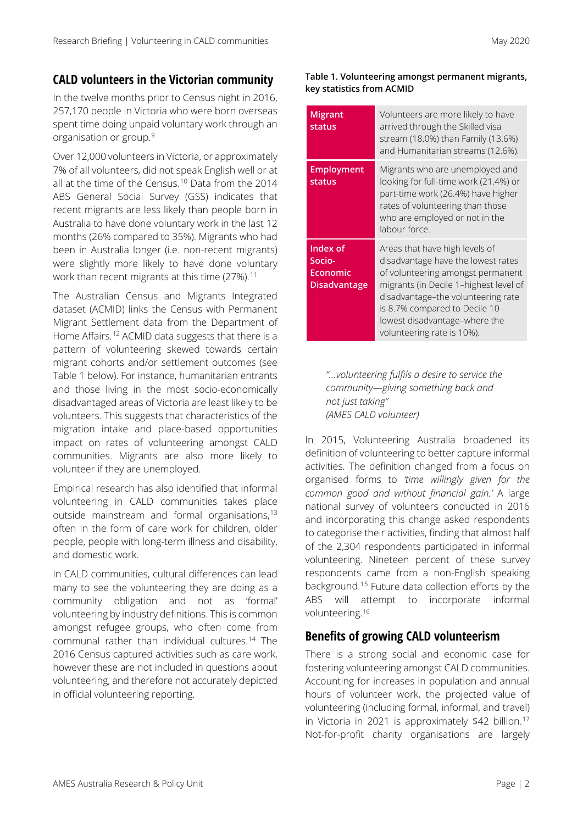### **CALD volunteers in the Victorian community**

In the twelve months prior to Census night in 2016, 257,170 people in Victoria who were born overseas spent time doing unpaid voluntary work through an organisation or group.[9](#page-5-8)

Over 12,000 volunteers in Victoria, or approximately 7% of all volunteers, did not speak English well or at all at the time of the Census. [10](#page-5-9) Data from the 2014 ABS General Social Survey (GSS) indicates that recent migrants are less likely than people born in Australia to have done voluntary work in the last 12 months (26% compared to 35%). Migrants who had been in Australia longer (i.e. non-recent migrants) were slightly more likely to have done voluntary work than recent migrants at this time  $(27\%)$ .<sup>[11](#page-5-10)</sup>

The Australian Census and Migrants Integrated dataset (ACMID) links the Census with Permanent Migrant Settlement data from the Department of Home Affairs. [12](#page-5-11) ACMID data suggests that there is a pattern of volunteering skewed towards certain migrant cohorts and/or settlement outcomes (see [Table 1](#page-1-0) below). For instance, humanitarian entrants and those living in the most socio-economically disadvantaged areas of Victoria are least likely to be volunteers. This suggests that characteristics of the migration intake and place-based opportunities impact on rates of volunteering amongst CALD communities. Migrants are also more likely to volunteer if they are unemployed.

<span id="page-1-0"></span>Empirical research has also identified that informal volunteering in CALD communities takes place outside mainstream and formal organisations,<sup>[13](#page-5-12)</sup> often in the form of care work for children, older people, people with long-term illness and disability, and domestic work.

In CALD communities, cultural differences can lead many to see the volunteering they are doing as a community obligation and not as 'formal' volunteering by industry definitions. This is common amongst refugee groups, who often come from communal rather than individual cultures. [14](#page-5-0) The 2016 Census captured activities such as care work, however these are not included in questions about volunteering, and therefore not accurately depicted in official volunteering reporting.

#### **Table 1. Volunteering amongst permanent migrants, key statistics from ACMID**

| <b>Migrant</b><br>status                                     | Volunteers are more likely to have<br>arrived through the Skilled visa<br>stream (18.0%) than Family (13.6%)<br>and Humanitarian streams (12.6%).                                                                                                                                          |
|--------------------------------------------------------------|--------------------------------------------------------------------------------------------------------------------------------------------------------------------------------------------------------------------------------------------------------------------------------------------|
| <b>Employment</b><br>status                                  | Migrants who are unemployed and<br>looking for full-time work (21.4%) or<br>part-time work (26.4%) have higher<br>rates of volunteering than those<br>who are employed or not in the<br>labour force.                                                                                      |
| Index of<br>Socio-<br><b>Economic</b><br><b>Disadvantage</b> | Areas that have high levels of<br>disadvantage have the lowest rates<br>of volunteering amongst permanent<br>migrants (in Decile 1-highest level of<br>disadvantage-the volunteering rate<br>is 8.7% compared to Decile 10-<br>lowest disadvantage-where the<br>volunteering rate is 10%). |

*"…volunteering fulfils a desire to service the community—giving something back and not just taking" (AMES CALD volunteer)*

In 2015, Volunteering Australia broadened its definition of volunteering to better capture informal activities. The definition changed from a focus on organised forms to *'time willingly given for the common good and without financial gain.'* A large national survey of volunteers conducted in 2016 and incorporating this change asked respondents to categorise their activities, finding that almost half of the 2,304 respondents participated in informal volunteering. Nineteen percent of these survey respondents came from a non-English speaking background.[15](#page-5-13) Future data collection efforts by the ABS will attempt to incorporate informal volunteering.[16](#page-5-14)

### **Benefits of growing CALD volunteerism**

There is a strong social and economic case for fostering volunteering amongst CALD communities. Accounting for increases in population and annual hours of volunteer work, the projected value of volunteering (including formal, informal, and travel) in Victoria in 2021 is approximately \$42 billion.<sup>[17](#page-5-15)</sup> Not-for-profit charity organisations are largely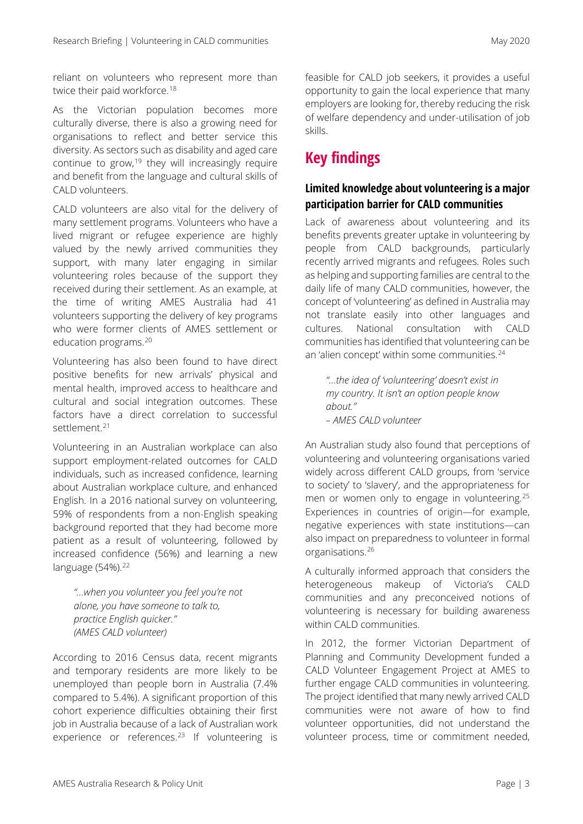reliant on volunteers who represent more than twice their paid workforce.<sup>[18](#page-5-16)</sup>

As the Victorian population becomes more culturally diverse, there is also a growing need for organisations to reflect and better service this diversity. As sectors such as disability and aged care continue to grow, $19$  they will increasingly require and benefit from the language and cultural skills of CALD volunteers.

CALD volunteers are also vital for the delivery of many settlement programs. Volunteers who have a lived migrant or refugee experience are highly valued by the newly arrived communities they support, with many later engaging in similar volunteering roles because of the support they received during their settlement. As an example, at the time of writing AMES Australia had 41 volunteers supporting the delivery of key programs who were former clients of AMES settlement or education programs.[20](#page-5-18)

Volunteering has also been found to have direct positive benefits for new arrivals' physical and mental health, improved access to healthcare and cultural and social integration outcomes. These factors have a direct correlation to successful settlement.<sup>[21](#page-5-19)</sup>

Volunteering in an Australian workplace can also support employment-related outcomes for CALD individuals, such as increased confidence, learning about Australian workplace culture, and enhanced English. In a 2016 national survey on volunteering, 59% of respondents from a non-English speaking background reported that they had become more patient as a result of volunteering, followed by increased confidence (56%) and learning a new language (54%).<sup>[22](#page-5-4)</sup>

*"…when you volunteer you feel you're not alone, you have someone to talk to, practice English quicker." (AMES CALD volunteer)*

According to 2016 Census data, recent migrants and temporary residents are more likely to be unemployed than people born in Australia (7.4% compared to 5.4%). A significant proportion of this cohort experience difficulties obtaining their first job in Australia because of a lack of Australian work experience or references.<sup>[23](#page-5-20)</sup> If volunteering is feasible for CALD job seekers, it provides a useful opportunity to gain the local experience that many employers are looking for, thereby reducing the risk of welfare dependency and under-utilisation of job skills.

# **Key findings**

### **Limited knowledge about volunteering is a major participation barrier for CALD communities**

Lack of awareness about volunteering and its benefits prevents greater uptake in volunteering by people from CALD backgrounds, particularly recently arrived migrants and refugees. Roles such as helping and supporting families are central to the daily life of many CALD communities, however, the concept of 'volunteering' as defined in Australia may not translate easily into other languages and cultures. National consultation with CALD communities has identified that volunteering can be an 'alien concept' within some communities.<sup>[24](#page-5-21)</sup>

*"...the idea of 'volunteering' doesn't exist in my country. It isn't an option people know about." – AMES CALD volunteer*

An Australian study also found that perceptions of volunteering and volunteering organisations varied widely across different CALD groups, from 'service to society' to 'slavery', and the appropriateness for men or women only to engage in volunteering.[25](#page-5-22) Experiences in countries of origin—for example, negative experiences with state institutions—can also impact on preparedness to volunteer in formal organisations.[26](#page-5-23)

A culturally informed approach that considers the heterogeneous makeup of Victoria's CALD communities and any preconceived notions of volunteering is necessary for building awareness within CALD communities.

In 2012, the former Victorian Department of Planning and Community Development funded a CALD Volunteer Engagement Project at AMES to further engage CALD communities in volunteering. The project identified that many newly arrived CALD communities were not aware of how to find volunteer opportunities, did not understand the volunteer process, time or commitment needed,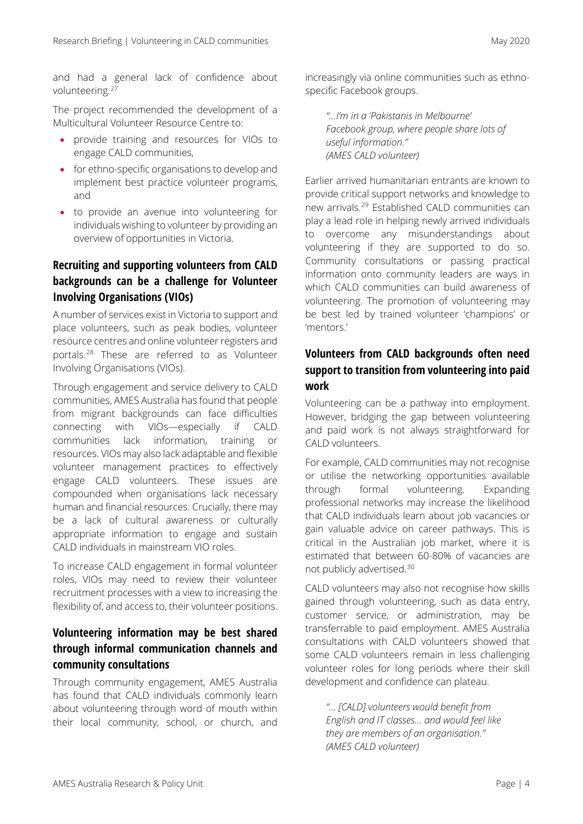and had a general lack of confidence about volunteering.<sup>[27](#page-5-24)</sup>

The project recommended the development of a Multicultural Volunteer Resource Centre to:

- provide training and resources for VIOs to engage CALD communities,
- for ethno-specific organisations to develop and implement best practice volunteer programs, and
- to provide an avenue into volunteering for individuals wishing to volunteer by providing an overview of opportunities in Victoria.

### **Recruiting and supporting volunteers from CALD backgrounds can be a challenge for Volunteer Involving Organisations (VIOs)**

A number of services exist in Victoria to support and place volunteers, such as peak bodies, volunteer resource centres and online volunteer registers and portals.[28](#page-5-25) These are referred to as Volunteer Involving Organisations (VIOs).

Through engagement and service delivery to CALD communities, AMES Australia has found that people from migrant backgrounds can face difficulties connecting with VIOs—especially if CALD communities lack information, training or resources. VIOs may also lack adaptable and flexible volunteer management practices to effectively engage CALD volunteers. These issues are compounded when organisations lack necessary human and financial resources. Crucially, there may be a lack of cultural awareness or culturally appropriate information to engage and sustain CALD individuals in mainstream VIO roles.

To increase CALD engagement in formal volunteer roles, VIOs may need to review their volunteer recruitment processes with a view to increasing the flexibility of, and access to, their volunteer positions.

### **Volunteering information may be best shared through informal communication channels and community consultations**

Through community engagement, AMES Australia has found that CALD individuals commonly learn about volunteering through word of mouth within their local community, school, or church, and increasingly via online communities such as ethnospecific Facebook groups.

*"…I'm in a 'Pakistanis in Melbourne' Facebook group, where people share lots of useful information." (AMES CALD volunteer)*

Earlier arrived humanitarian entrants are known to provide critical support networks and knowledge to new arrivals.[29](#page-5-26) Established CALD communities can play a lead role in helping newly arrived individuals to overcome any misunderstandings about volunteering if they are supported to do so. Community consultations or passing practical information onto community leaders are ways in which CALD communities can build awareness of volunteering. The promotion of volunteering may be best led by trained volunteer 'champions' or 'mentors.'

### **Volunteers from CALD backgrounds often need support to transition from volunteering into paid work**

Volunteering can be a pathway into employment. However, bridging the gap between volunteering and paid work is not always straightforward for CALD volunteers.

For example, CALD communities may not recognise or utilise the networking opportunities available through formal volunteering. Expanding professional networks may increase the likelihood that CALD individuals learn about job vacancies or gain valuable advice on career pathways. This is critical in the Australian job market, where it is estimated that between 60-80% of vacancies are not publicly advertised.[30](#page-5-27)

CALD volunteers may also not recognise how skills gained through volunteering, such as data entry, customer service, or administration, may be transferrable to paid employment. AMES Australia consultations with CALD volunteers showed that some CALD volunteers remain in less challenging volunteer roles for long periods where their skill development and confidence can plateau.

*"… [CALD] volunteers would benefit from English and IT classes… and would feel like they are members of an organisation." (AMES CALD volunteer)*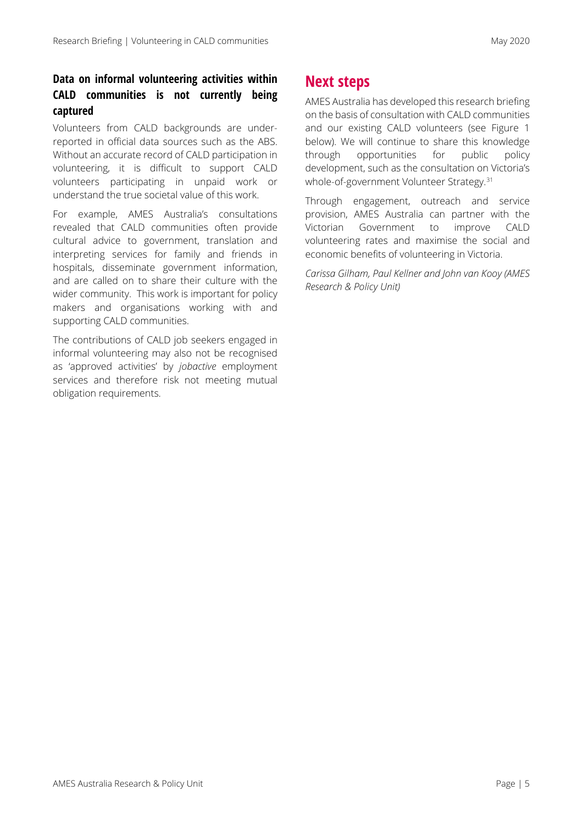### **Data on informal volunteering activities within CALD communities is not currently being captured**

Volunteers from CALD backgrounds are underreported in official data sources such as the ABS. Without an accurate record of CALD participation in volunteering, it is difficult to support CALD volunteers participating in unpaid work or understand the true societal value of this work.

For example, AMES Australia's consultations revealed that CALD communities often provide cultural advice to government, translation and interpreting services for family and friends in hospitals, disseminate government information, and are called on to share their culture with the wider community. This work is important for policy makers and organisations working with and supporting CALD communities.

The contributions of CALD job seekers engaged in informal volunteering may also not be recognised as 'approved activities' by *jobactive* employment services and therefore risk not meeting mutual obligation requirements.

### **Next steps**

AMES Australia has developed this research briefing on the basis of consultation with CALD communities and our existing CALD volunteers (see Figure 1 below). We will continue to share this knowledge through opportunities for public policy development, such as the consultation on Victoria's whole-of-government Volunteer Strategy.[31](#page-5-28)

Through engagement, outreach and service provision, AMES Australia can partner with the Victorian Government to improve CALD volunteering rates and maximise the social and economic benefits of volunteering in Victoria.

*Carissa Gilham, Paul Kellner and John van Kooy (AMES Research & Policy Unit)*